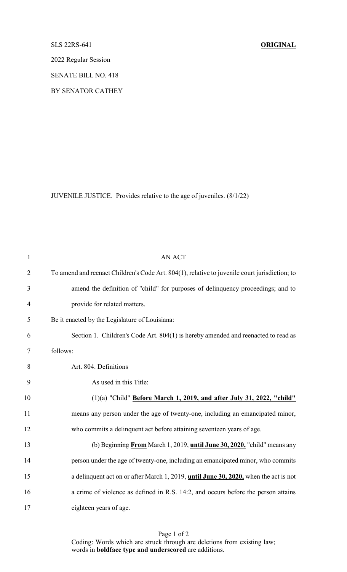## SLS 22RS-641 **ORIGINAL**

2022 Regular Session

SENATE BILL NO. 418

BY SENATOR CATHEY

JUVENILE JUSTICE. Provides relative to the age of juveniles. (8/1/22)

| $\mathbf{1}$   | <b>AN ACT</b>                                                                                 |
|----------------|-----------------------------------------------------------------------------------------------|
| $\overline{2}$ | To amend and reenact Children's Code Art. 804(1), relative to juvenile court jurisdiction; to |
| 3              | amend the definition of "child" for purposes of delinquency proceedings; and to               |
| $\overline{4}$ | provide for related matters.                                                                  |
| 5              | Be it enacted by the Legislature of Louisiana:                                                |
| 6              | Section 1. Children's Code Art. 804(1) is hereby amended and reenacted to read as             |
| $\tau$         | follows:                                                                                      |
| 8              | Art. 804. Definitions                                                                         |
| 9              | As used in this Title:                                                                        |
| 10             | $(1)(a)$ "Child" Before March 1, 2019, and after July 31, 2022, "child"                       |
| 11             | means any person under the age of twenty-one, including an emancipated minor,                 |
| 12             | who commits a delinquent act before attaining seventeen years of age.                         |
| 13             | (b) Beginning From March 1, 2019, until June 30, 2020, "child" means any                      |
| 14             | person under the age of twenty-one, including an emancipated minor, who commits               |
| 15             | a delinquent act on or after March 1, 2019, until June 30, 2020, when the act is not          |
| 16             | a crime of violence as defined in R.S. 14:2, and occurs before the person attains             |
| 17             | eighteen years of age.                                                                        |

Page 1 of 2 Coding: Words which are struck through are deletions from existing law; words in **boldface type and underscored** are additions.